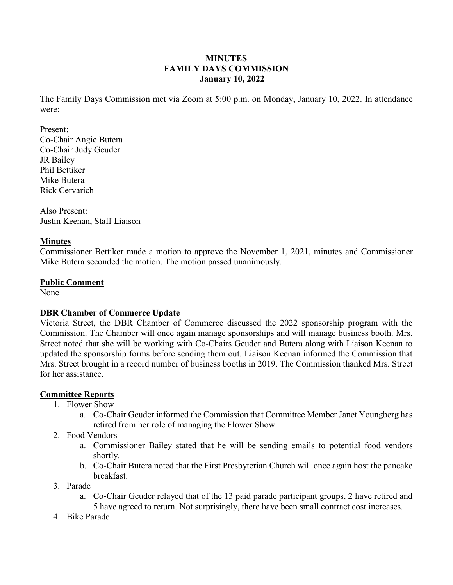#### **MINUTES FAMILY DAYS COMMISSION January 10, 2022**

The Family Days Commission met via Zoom at 5:00 p.m. on Monday, January 10, 2022. In attendance were:

Present: Co-Chair Angie Butera Co-Chair Judy Geuder JR Bailey Phil Bettiker Mike Butera Rick Cervarich

Also Present: Justin Keenan, Staff Liaison

#### **Minutes**

Commissioner Bettiker made a motion to approve the November 1, 2021, minutes and Commissioner Mike Butera seconded the motion. The motion passed unanimously.

#### **Public Comment**

None

## **DBR Chamber of Commerce Update**

Victoria Street, the DBR Chamber of Commerce discussed the 2022 sponsorship program with the Commission. The Chamber will once again manage sponsorships and will manage business booth. Mrs. Street noted that she will be working with Co-Chairs Geuder and Butera along with Liaison Keenan to updated the sponsorship forms before sending them out. Liaison Keenan informed the Commission that Mrs. Street brought in a record number of business booths in 2019. The Commission thanked Mrs. Street for her assistance.

#### **Committee Reports**

- 1. Flower Show
	- a. Co-Chair Geuder informed the Commission that Committee Member Janet Youngberg has retired from her role of managing the Flower Show.
- 2. Food Vendors
	- a. Commissioner Bailey stated that he will be sending emails to potential food vendors shortly.
	- b. Co-Chair Butera noted that the First Presbyterian Church will once again host the pancake breakfast.
- 3. Parade
	- a. Co-Chair Geuder relayed that of the 13 paid parade participant groups, 2 have retired and 5 have agreed to return. Not surprisingly, there have been small contract cost increases.
- 4. Bike Parade